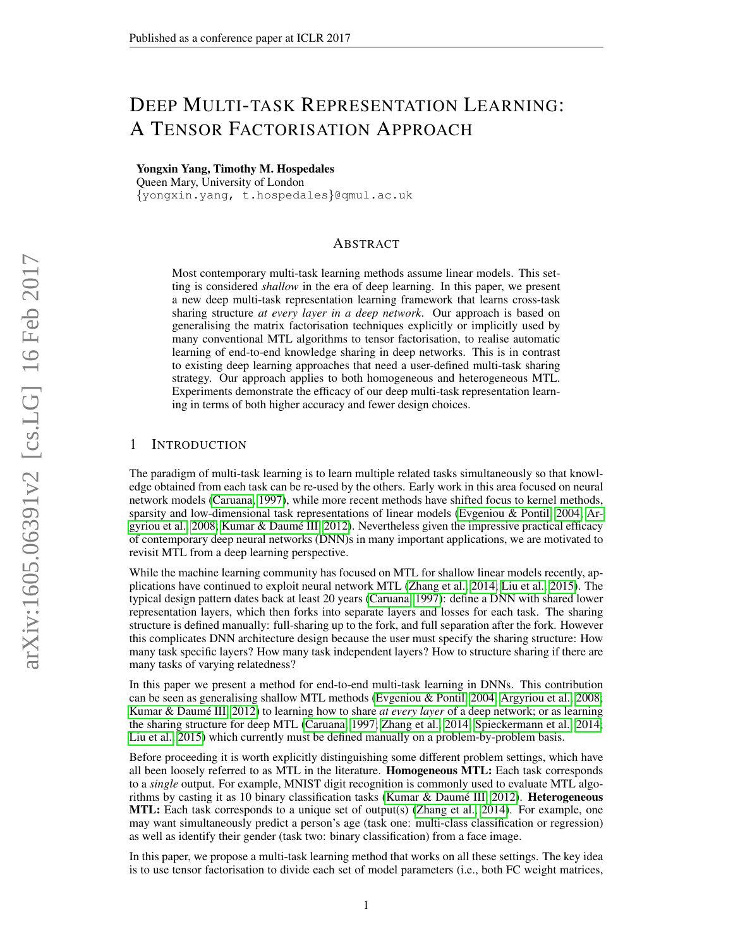# DEEP MULTI-TASK REPRESENTATION LEARNING: A TENSOR FACTORISATION APPROACH

Yongxin Yang, Timothy M. Hospedales

Queen Mary, University of London {yongxin.yang, t.hospedales}@qmul.ac.uk

# ABSTRACT

Most contemporary multi-task learning methods assume linear models. This setting is considered *shallow* in the era of deep learning. In this paper, we present a new deep multi-task representation learning framework that learns cross-task sharing structure *at every layer in a deep network*. Our approach is based on generalising the matrix factorisation techniques explicitly or implicitly used by many conventional MTL algorithms to tensor factorisation, to realise automatic learning of end-to-end knowledge sharing in deep networks. This is in contrast to existing deep learning approaches that need a user-defined multi-task sharing strategy. Our approach applies to both homogeneous and heterogeneous MTL. Experiments demonstrate the efficacy of our deep multi-task representation learning in terms of both higher accuracy and fewer design choices.

### 1 INTRODUCTION

The paradigm of multi-task learning is to learn multiple related tasks simultaneously so that knowledge obtained from each task can be re-used by the others. Early work in this area focused on neural network models [\(Caruana, 1997\)](#page-9-0), while more recent methods have shifted focus to kernel methods, sparsity and low-dimensional task representations of linear models [\(Evgeniou & Pontil, 2004;](#page-9-1) [Ar](#page-9-2)[gyriou et al., 2008;](#page-9-2) Kumar & Daumé III, 2012). Nevertheless given the impressive practical efficacy of contemporary deep neural networks (DNN)s in many important applications, we are motivated to revisit MTL from a deep learning perspective.

While the machine learning community has focused on MTL for shallow linear models recently, applications have continued to exploit neural network MTL [\(Zhang et al., 2014;](#page-10-0) [Liu et al., 2015\)](#page-9-4). The typical design pattern dates back at least 20 years [\(Caruana, 1997\)](#page-9-0): define a DNN with shared lower representation layers, which then forks into separate layers and losses for each task. The sharing structure is defined manually: full-sharing up to the fork, and full separation after the fork. However this complicates DNN architecture design because the user must specify the sharing structure: How many task specific layers? How many task independent layers? How to structure sharing if there are many tasks of varying relatedness?

In this paper we present a method for end-to-end multi-task learning in DNNs. This contribution can be seen as generalising shallow MTL methods [\(Evgeniou & Pontil, 2004;](#page-9-1) [Argyriou et al., 2008;](#page-9-2) Kumar & Daumé III, 2012) to learning how to share *at every layer* of a deep network; or as learning the sharing structure for deep MTL [\(Caruana, 1997;](#page-9-0) [Zhang et al., 2014;](#page-10-0) [Spieckermann et al., 2014;](#page-10-1) [Liu et al., 2015\)](#page-9-4) which currently must be defined manually on a problem-by-problem basis.

Before proceeding it is worth explicitly distinguishing some different problem settings, which have all been loosely referred to as MTL in the literature. Homogeneous MTL: Each task corresponds to a *single* output. For example, MNIST digit recognition is commonly used to evaluate MTL algorithms by casting it as 10 binary classification tasks (Kumar & Daumé III, 2012). Heterogeneous MTL: Each task corresponds to a unique set of output(s) [\(Zhang et al., 2014\)](#page-10-0). For example, one may want simultaneously predict a person's age (task one: multi-class classification or regression) as well as identify their gender (task two: binary classification) from a face image.

In this paper, we propose a multi-task learning method that works on all these settings. The key idea is to use tensor factorisation to divide each set of model parameters (i.e., both FC weight matrices,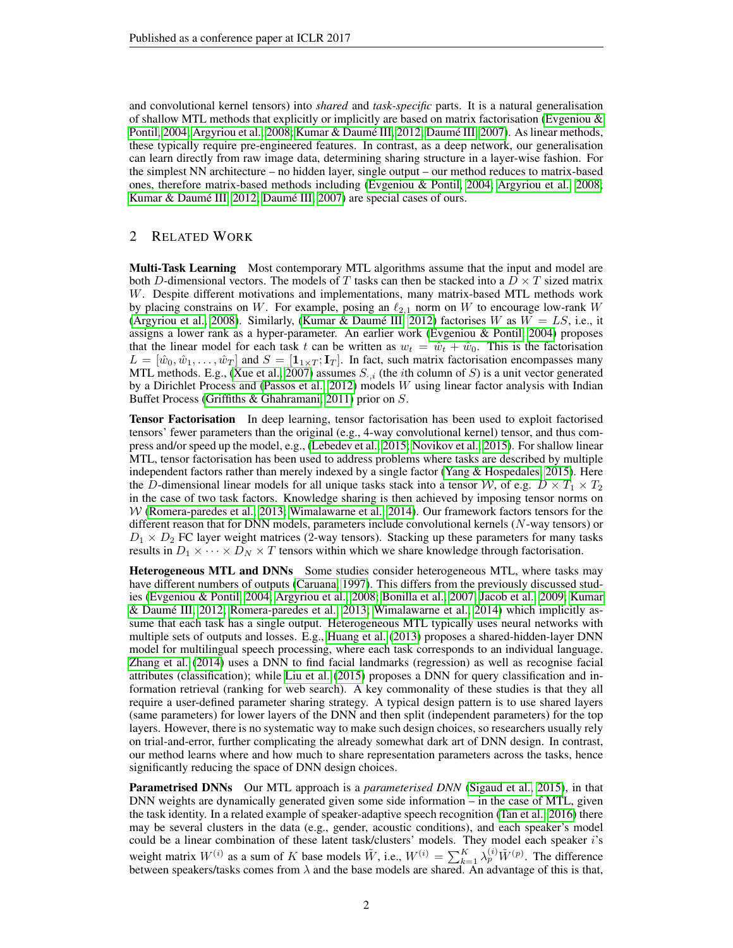and convolutional kernel tensors) into *shared* and *task-specific* parts. It is a natural generalisation of shallow MTL methods that explicitly or implicitly are based on matrix factorisation (Evgeniou  $\&$ [Pontil, 2004;](#page-9-1) [Argyriou et al., 2008;](#page-9-2) Kumar & [Daum](#page-9-5)é III, 2012; Daumé III, [2007\)](#page-9-5). As linear methods, these typically require pre-engineered features. In contrast, as a deep network, our generalisation can learn directly from raw image data, determining sharing structure in a layer-wise fashion. For the simplest NN architecture – no hidden layer, single output – our method reduces to matrix-based ones, therefore matrix-based methods including [\(Evgeniou & Pontil, 2004;](#page-9-1) [Argyriou et al., 2008;](#page-9-2) Kumar & [Daum](#page-9-5)é III, 2012; Daumé III, [2007\)](#page-9-5) are special cases of ours.

# 2 RELATED WORK

**Multi-Task Learning** Most contemporary MTL algorithms assume that the input and model are both D-dimensional vectors. The models of T tasks can then be stacked into a  $D \times T$  sized matrix W. Despite different motivations and implementations, many matrix-based MTL methods work by placing constrains on W. For example, posing an  $\ell_{2,1}$  norm on W to encourage low-rank W [\(Argyriou et al., 2008\)](#page-9-2). Similarly, (Kumar & Daumé III, 2012) factorises  $W$  as  $W = LS$ , i.e., it assigns a lower rank as a hyper-parameter. An earlier work [\(Evgeniou & Pontil, 2004\)](#page-9-1) proposes that the linear model for each task t can be written as  $w_t = \hat{w}_t + \hat{w}_0$ . This is the factorisation  $L = [\hat{w}_0, \hat{w}_1, \dots, \hat{w}_T]$  and  $S = [\mathbf{1}_{1 \times T}; \mathbf{I}_T]$ . In fact, such matrix factorisation encompasses many MTL methods. E.g., [\(Xue et al., 2007\)](#page-10-2) assumes  $S_{\cdot,i}$  (the *i*th column of S) is a unit vector generated by a Dirichlet Process and [\(Passos et al., 2012\)](#page-10-3) models W using linear factor analysis with Indian Buffet Process [\(Griffiths & Ghahramani, 2011\)](#page-9-6) prior on S.

Tensor Factorisation In deep learning, tensor factorisation has been used to exploit factorised tensors' fewer parameters than the original (e.g., 4-way convolutional kernel) tensor, and thus compress and/or speed up the model, e.g., [\(Lebedev et al., 2015;](#page-9-7) [Novikov et al., 2015\)](#page-10-4). For shallow linear MTL, tensor factorisation has been used to address problems where tasks are described by multiple independent factors rather than merely indexed by a single factor [\(Yang & Hospedales, 2015\)](#page-10-5). Here the D-dimensional linear models for all unique tasks stack into a tensor W, of e.g.  $D \times T_1 \times T_2$ in the case of two task factors. Knowledge sharing is then achieved by imposing tensor norms on  $W$  [\(Romera-paredes et al., 2013;](#page-10-6) [Wimalawarne et al., 2014\)](#page-10-7). Our framework factors tensors for the different reason that for DNN models, parameters include convolutional kernels (N-way tensors) or  $D_1 \times D_2$  FC layer weight matrices (2-way tensors). Stacking up these parameters for many tasks results in  $D_1 \times \cdots \times D_N \times T$  tensors within which we share knowledge through factorisation.

Heterogeneous MTL and DNNs Some studies consider heterogeneous MTL, where tasks may have different numbers of outputs [\(Caruana, 1997\)](#page-9-0). This differs from the previously discussed studies [\(Evgeniou & Pontil, 2004;](#page-9-1) [Argyriou et al., 2008;](#page-9-2) [Bonilla et al., 2007;](#page-9-8) [Jacob et al., 2009;](#page-9-9) [Kumar](#page-9-3) [& Daume III, 2012;](#page-9-3) [Romera-paredes et al., 2013;](#page-10-6) [Wimalawarne et al., 2014\)](#page-10-7) which implicitly as- ´ sume that each task has a single output. Heterogeneous MTL typically uses neural networks with multiple sets of outputs and losses. E.g., [Huang et al.](#page-9-10) [\(2013\)](#page-9-10) proposes a shared-hidden-layer DNN model for multilingual speech processing, where each task corresponds to an individual language. [Zhang et al.](#page-10-0) [\(2014\)](#page-10-0) uses a DNN to find facial landmarks (regression) as well as recognise facial attributes (classification); while [Liu et al.](#page-9-4) [\(2015\)](#page-9-4) proposes a DNN for query classification and information retrieval (ranking for web search). A key commonality of these studies is that they all require a user-defined parameter sharing strategy. A typical design pattern is to use shared layers (same parameters) for lower layers of the DNN and then split (independent parameters) for the top layers. However, there is no systematic way to make such design choices, so researchers usually rely on trial-and-error, further complicating the already somewhat dark art of DNN design. In contrast, our method learns where and how much to share representation parameters across the tasks, hence significantly reducing the space of DNN design choices.

Parametrised DNNs Our MTL approach is a *parameterised DNN* [\(Sigaud et al., 2015\)](#page-10-8), in that DNN weights are dynamically generated given some side information – in the case of MTL, given the task identity. In a related example of speaker-adaptive speech recognition [\(Tan et al., 2016\)](#page-10-9) there may be several clusters in the data (e.g., gender, acoustic conditions), and each speaker's model could be a linear combination of these latent task/clusters' models. They model each speaker i's weight matrix  $W^{(i)}$  as a sum of K base models  $\tilde{W}$ , i.e.,  $W^{(i)} = \sum_{k=1}^{K} \lambda_p^{(i)} \tilde{W}^{(p)}$ . The difference between speakers/tasks comes from  $\lambda$  and the base models are shared. An advantage of this is that,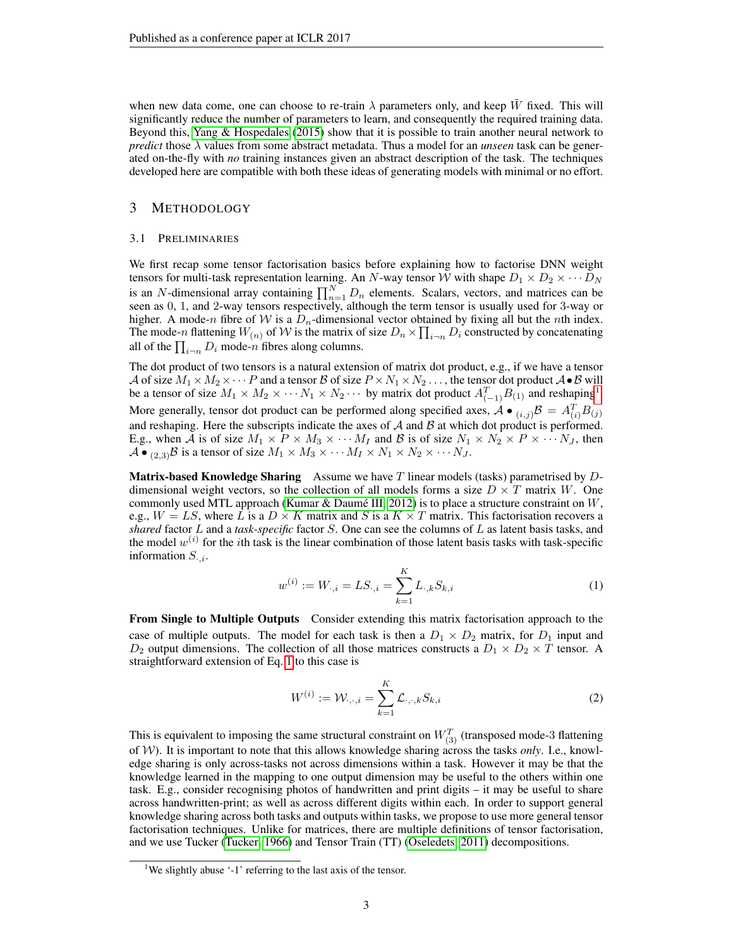when new data come, one can choose to re-train  $\lambda$  parameters only, and keep W fixed. This will significantly reduce the number of parameters to learn, and consequently the required training data. Beyond this, [Yang & Hospedales](#page-10-5) [\(2015\)](#page-10-5) show that it is possible to train another neural network to *predict* those λ values from some abstract metadata. Thus a model for an *unseen* task can be generated on-the-fly with *no* training instances given an abstract description of the task. The techniques developed here are compatible with both these ideas of generating models with minimal or no effort.

## 3 METHODOLOGY

#### 3.1 PRELIMINARIES

We first recap some tensor factorisation basics before explaining how to factorise DNN weight tensors for multi-task representation learning. An N-way tensor W with shape  $D_1 \times D_2 \times \cdots D_N$ is an N-dimensional array containing  $\prod_{n=1}^{N} D_n$  elements. Scalars, vectors, and matrices can be seen as 0, 1, and 2-way tensors respectively, although the term tensor is usually used for 3-way or higher. A mode-n fibre of W is a  $D_n$ -dimensional vector obtained by fixing all but the nth index. The mode-n flattening  $W_{(n)}$  of  $W$  is the matrix of size  $D_n \times \prod_{i\to n} D_i$  constructed by concatenating all of the  $\prod_{i\rightarrow n} D_i$  mode-n fibres along columns.

The dot product of two tensors is a natural extension of matrix dot product, e.g., if we have a tensor A of size  $M_1 \times M_2 \times \cdots P$  and a tensor B of size  $P \times N_1 \times N_2 \ldots$ , the tensor dot product  $A \bullet B$  will be a tensor of size  $M_1 \times M_2 \times \cdots N_1 \times N_2 \cdots$  $M_1 \times M_2 \times \cdots N_1 \times N_2 \cdots$  $M_1 \times M_2 \times \cdots N_1 \times N_2 \cdots$  by matrix dot product  $A_{(-1)}^T B_{(1)}$  and reshaping<sup>1</sup>. More generally, tensor dot product can be performed along specified axes,  $\mathcal{A} \bullet (i,j) \mathcal{B} = A_{(i)}^T B_{(j)}$ and reshaping. Here the subscripts indicate the axes of  $A$  and  $B$  at which dot product is performed. E.g., when A is of size  $M_1 \times P \times M_3 \times \cdots M_I$  and B is of size  $N_1 \times N_2 \times P \times \cdots N_J$ , then  $\mathcal{A} \bullet_{(2,3)} \mathcal{B}$  is a tensor of size  $M_1 \times M_3 \times \cdots M_I \times N_1 \times N_2 \times \cdots N_J$ .

**Matrix-based Knowledge Sharing** Assume we have  $T$  linear models (tasks) parametrised by  $D$ dimensional weight vectors, so the collection of all models forms a size  $D \times T$  matrix W. One commonly used MTL approach (Kumar & Daumé III, 2012) is to place a structure constraint on  $W$ , e.g.,  $W = LS$ , where L is a  $D \times K$  matrix and S is a  $K \times T$  matrix. This factorisation recovers a *shared* factor L and a *task-specific* factor S. One can see the columns of L as latent basis tasks, and the model  $w^{(i)}$  for the *i*th task is the linear combination of those latent basis tasks with task-specific information  $S_{i,i}$ .

<span id="page-2-1"></span>
$$
w^{(i)} := W_{\cdot,i} = LS_{\cdot,i} = \sum_{k=1}^{K} L_{\cdot,k} S_{k,i}
$$
 (1)

From Single to Multiple Outputs Consider extending this matrix factorisation approach to the case of multiple outputs. The model for each task is then a  $D_1 \times D_2$  matrix, for  $D_1$  input and  $D_2$  output dimensions. The collection of all those matrices constructs a  $D_1 \times D_2 \times T$  tensor. A straightforward extension of Eq. [1](#page-2-1) to this case is

<span id="page-2-2"></span>
$$
W^{(i)} := \mathcal{W}_{\cdot, \cdot, i} = \sum_{k=1}^{K} \mathcal{L}_{\cdot, \cdot, k} S_{k, i}
$$
 (2)

This is equivalent to imposing the same structural constraint on  $W_{(3)}^T$  (transposed mode-3 flattening of W). It is important to note that this allows knowledge sharing across the tasks *only*. I.e., knowledge sharing is only across-tasks not across dimensions within a task. However it may be that the knowledge learned in the mapping to one output dimension may be useful to the others within one task. E.g., consider recognising photos of handwritten and print digits – it may be useful to share across handwritten-print; as well as across different digits within each. In order to support general knowledge sharing across both tasks and outputs within tasks, we propose to use more general tensor factorisation techniques. Unlike for matrices, there are multiple definitions of tensor factorisation, and we use Tucker [\(Tucker, 1966\)](#page-10-10) and Tensor Train (TT) [\(Oseledets, 2011\)](#page-10-11) decompositions.

<span id="page-2-0"></span><sup>&</sup>lt;sup>1</sup>We slightly abuse '-1' referring to the last axis of the tensor.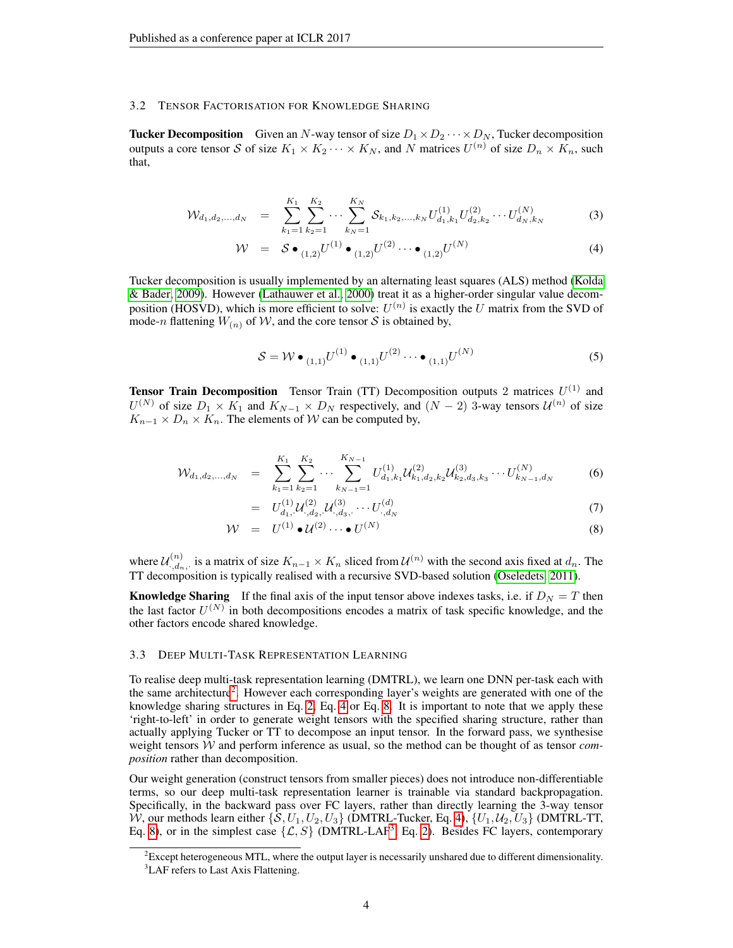#### 3.2 TENSOR FACTORISATION FOR KNOWLEDGE SHARING

**Tucker Decomposition** Given an N-way tensor of size  $D_1 \times D_2 \cdots \times D_N$ , Tucker decomposition outputs a core tensor S of size  $K_1 \times K_2 \cdots \times K_N$ , and N matrices  $U^{(n)}$  of size  $D_n \times K_n$ , such that,

<span id="page-3-1"></span>
$$
\mathcal{W}_{d_1, d_2, \dots, d_N} = \sum_{k_1=1}^{K_1} \sum_{k_2=1}^{K_2} \dots \sum_{k_N=1}^{K_N} \mathcal{S}_{k_1, k_2, \dots, k_N} U_{d_1, k_1}^{(1)} U_{d_2, k_2}^{(2)} \dots U_{d_N, k_N}^{(N)} \tag{3}
$$

$$
\mathcal{W} = \mathcal{S} \bullet_{(1,2)} U^{(1)} \bullet_{(1,2)} U^{(2)} \cdots \bullet_{(1,2)} U^{(N)} \tag{4}
$$

Tucker decomposition is usually implemented by an alternating least squares (ALS) method [\(Kolda](#page-9-11) [& Bader, 2009\)](#page-9-11). However [\(Lathauwer et al., 2000\)](#page-9-12) treat it as a higher-order singular value decomposition (HOSVD), which is more efficient to solve:  $U^{(n)}$  is exactly the U matrix from the SVD of mode-n flattening  $W_{(n)}$  of W, and the core tensor S is obtained by,

$$
S = W \bullet_{(1,1)} U^{(1)} \bullet_{(1,1)} U^{(2)} \cdots \bullet_{(1,1)} U^{(N)} \tag{5}
$$

**Tensor Train Decomposition** Tensor Train (TT) Decomposition outputs 2 matrices  $U^{(1)}$  and  $U^{(N)}$  of size  $D_1 \times K_1$  and  $K_{N-1} \times D_N$  respectively, and  $(N-2)$  3-way tensors  $\mathcal{U}^{(n)}$  of size  $K_{n-1} \times D_n \times K_n$ . The elements of W can be computed by,

<span id="page-3-2"></span>
$$
\mathcal{W}_{d_1, d_2, \dots, d_N} = \sum_{k_1=1}^{K_1} \sum_{k_2=1}^{K_2} \dots \sum_{k_{N-1}=1}^{K_{N-1}} U_{d_1, k_1}^{(1)} \mathcal{U}_{k_1, d_2, k_2}^{(2)} \mathcal{U}_{k_2, d_3, k_3}^{(3)} \dots U_{k_{N-1}, d_N}^{(N)} \tag{6}
$$

$$
= U_{d_1, \mathcal{U}}^{(1)} \mathcal{U}_{d_2, \mathcal{U}}^{(2)} \mathcal{U}_{d_3, \mathcal{U}}^{(3)} \cdots U_{d_N}^{(d)} \tag{7}
$$

$$
\mathcal{W} = U^{(1)} \bullet \mathcal{U}^{(2)} \cdots \bullet U^{(N)} \tag{8}
$$

where  $\mathcal{U}_{d}^{(n)}$  $\chi_{n_1,d_n}^{(n)}$ , is a matrix of size  $K_{n-1} \times K_n$  sliced from  $\mathcal{U}^{(n)}$  with the second axis fixed at  $d_n$ . The TT decomposition is typically realised with a recursive SVD-based solution [\(Oseledets, 2011\)](#page-10-11).

**Knowledge Sharing** If the final axis of the input tensor above indexes tasks, i.e. if  $D<sub>N</sub> = T$  then the last factor  $U^{(N)}$  in both decompositions encodes a matrix of task specific knowledge, and the other factors encode shared knowledge.

#### 3.3 DEEP MULTI-TASK REPRESENTATION LEARNING

To realise deep multi-task representation learning (DMTRL), we learn one DNN per-task each with the same architecture<sup>[2](#page-3-0)</sup>. However each corresponding layer's weights are generated with one of the knowledge sharing structures in Eq. [2,](#page-2-2) Eq. [4](#page-3-1) or Eq. [8.](#page-3-2) It is important to note that we apply these 'right-to-left' in order to generate weight tensors with the specified sharing structure, rather than actually applying Tucker or TT to decompose an input tensor. In the forward pass, we synthesise weight tensors W and perform inference as usual, so the method can be thought of as tensor *composition* rather than decomposition.

Our weight generation (construct tensors from smaller pieces) does not introduce non-differentiable terms, so our deep multi-task representation learner is trainable via standard backpropagation. Specifically, in the backward pass over FC layers, rather than directly learning the 3-way tensor W, our methods learn either  $\{S, U_1, U_2, U_3\}$  (DMTRL-Tucker, Eq. [4\)](#page-3-1),  $\{U_1, U_2, U_3\}$  (DMTRL-TT, Eq. [8\)](#page-3-2), or in the simplest case  $\{\mathcal{L}, S\}$  (DMTRL-LAF<sup>[3](#page-3-3)</sup>, Eq. [2\)](#page-2-2). Besides FC layers, contemporary

<span id="page-3-3"></span><span id="page-3-0"></span> ${}^{2}$ Except heterogeneous MTL, where the output layer is necessarily unshared due to different dimensionality. <sup>3</sup>LAF refers to Last Axis Flattening.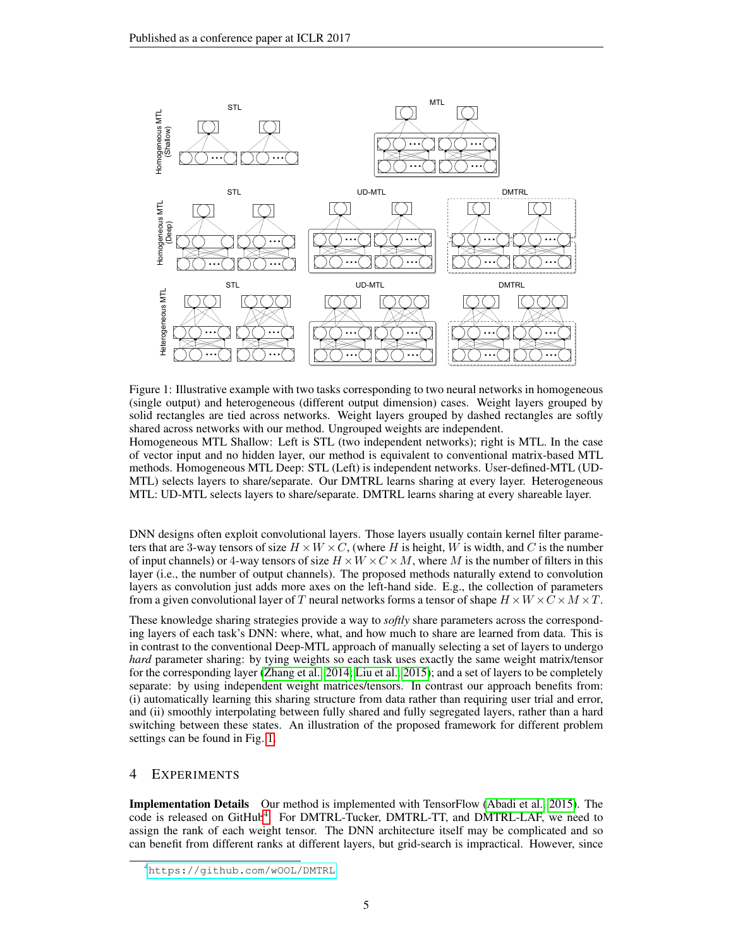

<span id="page-4-0"></span>Figure 1: Illustrative example with two tasks corresponding to two neural networks in homogeneous (single output) and heterogeneous (different output dimension) cases. Weight layers grouped by solid rectangles are tied across networks. Weight layers grouped by dashed rectangles are softly shared across networks with our method. Ungrouped weights are independent.

Homogeneous MTL Shallow: Left is STL (two independent networks); right is MTL. In the case of vector input and no hidden layer, our method is equivalent to conventional matrix-based MTL methods. Homogeneous MTL Deep: STL (Left) is independent networks. User-defined-MTL (UD-MTL) selects layers to share/separate. Our DMTRL learns sharing at every layer. Heterogeneous MTL: UD-MTL selects layers to share/separate. DMTRL learns sharing at every shareable layer.

DNN designs often exploit convolutional layers. Those layers usually contain kernel filter parameters that are 3-way tensors of size  $H \times W \times C$ , (where H is height, W is width, and C is the number of input channels) or 4-way tensors of size  $H \times W \times C \times M$ , where M is the number of filters in this layer (i.e., the number of output channels). The proposed methods naturally extend to convolution layers as convolution just adds more axes on the left-hand side. E.g., the collection of parameters from a given convolutional layer of T neural networks forms a tensor of shape  $H \times W \times C \times M \times T$ .

These knowledge sharing strategies provide a way to *softly* share parameters across the corresponding layers of each task's DNN: where, what, and how much to share are learned from data. This is in contrast to the conventional Deep-MTL approach of manually selecting a set of layers to undergo *hard* parameter sharing: by tying weights so each task uses exactly the same weight matrix/tensor for the corresponding layer [\(Zhang et al., 2014;](#page-10-0) [Liu et al., 2015\)](#page-9-4); and a set of layers to be completely separate: by using independent weight matrices/tensors. In contrast our approach benefits from: (i) automatically learning this sharing structure from data rather than requiring user trial and error, and (ii) smoothly interpolating between fully shared and fully segregated layers, rather than a hard switching between these states. An illustration of the proposed framework for different problem settings can be found in Fig. [1.](#page-4-0)

## 4 EXPERIMENTS

Implementation Details Our method is implemented with TensorFlow [\(Abadi et al., 2015\)](#page-9-13). The code is released on GitHub<sup>[4](#page-4-1)</sup>. For DMTRL-Tucker, DMTRL-TT, and DMTRL-LAF, we need to assign the rank of each weight tensor. The DNN architecture itself may be complicated and so can benefit from different ranks at different layers, but grid-search is impractical. However, since

<span id="page-4-1"></span><sup>4</sup><https://github.com/wOOL/DMTRL>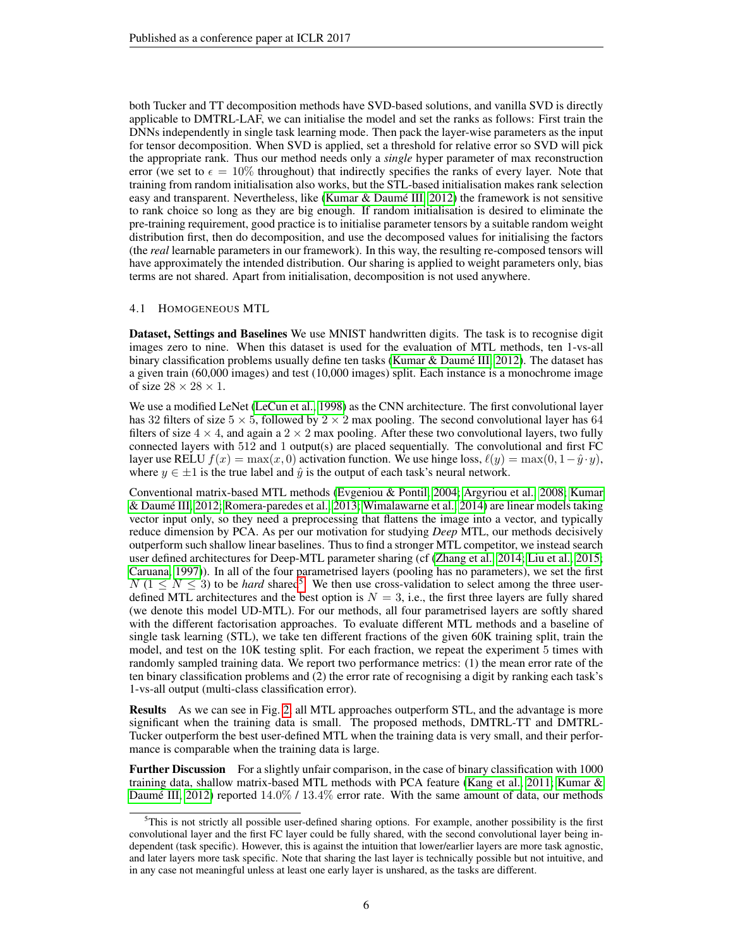both Tucker and TT decomposition methods have SVD-based solutions, and vanilla SVD is directly applicable to DMTRL-LAF, we can initialise the model and set the ranks as follows: First train the DNNs independently in single task learning mode. Then pack the layer-wise parameters as the input for tensor decomposition. When SVD is applied, set a threshold for relative error so SVD will pick the appropriate rank. Thus our method needs only a *single* hyper parameter of max reconstruction error (we set to  $\epsilon = 10\%$  throughout) that indirectly specifies the ranks of every layer. Note that training from random initialisation also works, but the STL-based initialisation makes rank selection easy and transparent. Nevertheless, like (Kumar & Daumé III, 2012) the framework is not sensitive to rank choice so long as they are big enough. If random initialisation is desired to eliminate the pre-training requirement, good practice is to initialise parameter tensors by a suitable random weight distribution first, then do decomposition, and use the decomposed values for initialising the factors (the *real* learnable parameters in our framework). In this way, the resulting re-composed tensors will have approximately the intended distribution. Our sharing is applied to weight parameters only, bias terms are not shared. Apart from initialisation, decomposition is not used anywhere.

#### 4.1 HOMOGENEOUS MTL

Dataset, Settings and Baselines We use MNIST handwritten digits. The task is to recognise digit images zero to nine. When this dataset is used for the evaluation of MTL methods, ten 1-vs-all binary classification problems usually define ten tasks (Kumar & Daumé III, 2012). The dataset has a given train (60,000 images) and test (10,000 images) split. Each instance is a monochrome image of size  $28 \times 28 \times 1$ .

We use a modified LeNet [\(LeCun et al., 1998\)](#page-9-14) as the CNN architecture. The first convolutional layer has 32 filters of size  $5 \times 5$ , followed by  $2 \times 2$  max pooling. The second convolutional layer has 64 filters of size  $4 \times 4$ , and again a  $2 \times 2$  max pooling. After these two convolutional layers, two fully connected layers with 512 and 1 output(s) are placed sequentially. The convolutional and first FC layer use RELU  $f(x) = \max(x, 0)$  activation function. We use hinge loss,  $\ell(y) = \max(0, 1-\hat{y} \cdot y)$ , where  $y \in \pm 1$  is the true label and  $\hat{y}$  is the output of each task's neural network.

Conventional matrix-based MTL methods [\(Evgeniou & Pontil, 2004;](#page-9-1) [Argyriou et al., 2008;](#page-9-2) [Kumar](#page-9-3) [& Daume III, 2012;](#page-9-3) [Romera-paredes et al., 2013;](#page-10-6) [Wimalawarne et al., 2014\)](#page-10-7) are linear models taking ´ vector input only, so they need a preprocessing that flattens the image into a vector, and typically reduce dimension by PCA. As per our motivation for studying *Deep* MTL, our methods decisively outperform such shallow linear baselines. Thus to find a stronger MTL competitor, we instead search user defined architectures for Deep-MTL parameter sharing (cf [\(Zhang et al., 2014;](#page-10-0) [Liu et al., 2015;](#page-9-4) [Caruana, 1997\)](#page-9-0)). In all of the four parametrised layers (pooling has no parameters), we set the first  $N$  ( $1 \leq N \leq 3$ ) to be *hard* shared<sup>[5](#page-5-0)</sup>. We then use cross-validation to select among the three userdefined MTL architectures and the best option is  $N = 3$ , i.e., the first three layers are fully shared (we denote this model UD-MTL). For our methods, all four parametrised layers are softly shared with the different factorisation approaches. To evaluate different MTL methods and a baseline of single task learning (STL), we take ten different fractions of the given 60K training split, train the model, and test on the 10K testing split. For each fraction, we repeat the experiment 5 times with randomly sampled training data. We report two performance metrics: (1) the mean error rate of the ten binary classification problems and (2) the error rate of recognising a digit by ranking each task's 1-vs-all output (multi-class classification error).

Results As we can see in Fig. [2,](#page-6-0) all MTL approaches outperform STL, and the advantage is more significant when the training data is small. The proposed methods, DMTRL-TT and DMTRL-Tucker outperform the best user-defined MTL when the training data is very small, and their performance is comparable when the training data is large.

Further Discussion For a slightly unfair comparison, in the case of binary classification with 1000 training data, shallow matrix-based MTL methods with PCA feature [\(Kang et al., 2011;](#page-9-15) [Kumar &](#page-9-3) Daumé III, 2012) reported  $14.0\%$  /  $13.4\%$  error rate. With the same amount of data, our methods

<span id="page-5-0"></span> $5$ This is not strictly all possible user-defined sharing options. For example, another possibility is the first convolutional layer and the first FC layer could be fully shared, with the second convolutional layer being independent (task specific). However, this is against the intuition that lower/earlier layers are more task agnostic, and later layers more task specific. Note that sharing the last layer is technically possible but not intuitive, and in any case not meaningful unless at least one early layer is unshared, as the tasks are different.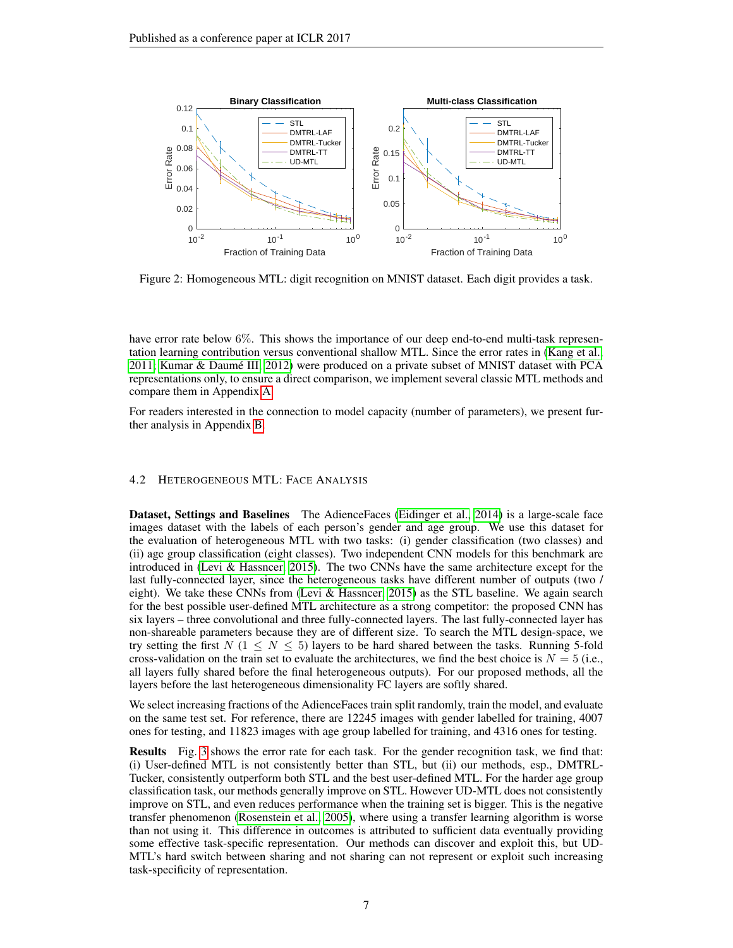

<span id="page-6-0"></span>Figure 2: Homogeneous MTL: digit recognition on MNIST dataset. Each digit provides a task.

have error rate below 6%. This shows the importance of our deep end-to-end multi-task representation learning contribution versus conventional shallow MTL. Since the error rates in [\(Kang et al.,](#page-9-15) [2011;](#page-9-15) [Kumar & Daume III, 2012\)](#page-9-3) were produced on a private subset of MNIST dataset with PCA ´ representations only, to ensure a direct comparison, we implement several classic MTL methods and compare them in Appendix [A.](#page-11-0)

For readers interested in the connection to model capacity (number of parameters), we present further analysis in Appendix [B.](#page-11-1)

### 4.2 HETEROGENEOUS MTL: FACE ANALYSIS

Dataset, Settings and Baselines The AdienceFaces [\(Eidinger et al., 2014\)](#page-9-16) is a large-scale face images dataset with the labels of each person's gender and age group. We use this dataset for the evaluation of heterogeneous MTL with two tasks: (i) gender classification (two classes) and (ii) age group classification (eight classes). Two independent CNN models for this benchmark are introduced in [\(Levi & Hassncer, 2015\)](#page-9-17). The two CNNs have the same architecture except for the last fully-connected layer, since the heterogeneous tasks have different number of outputs (two / eight). We take these CNNs from [\(Levi & Hassncer, 2015\)](#page-9-17) as the STL baseline. We again search for the best possible user-defined MTL architecture as a strong competitor: the proposed CNN has six layers – three convolutional and three fully-connected layers. The last fully-connected layer has non-shareable parameters because they are of different size. To search the MTL design-space, we try setting the first  $N$  (1  $\leq N \leq 5$ ) layers to be hard shared between the tasks. Running 5-fold cross-validation on the train set to evaluate the architectures, we find the best choice is  $N = 5$  (i.e., all layers fully shared before the final heterogeneous outputs). For our proposed methods, all the layers before the last heterogeneous dimensionality FC layers are softly shared.

We select increasing fractions of the AdienceFaces train split randomly, train the model, and evaluate on the same test set. For reference, there are 12245 images with gender labelled for training, 4007 ones for testing, and 11823 images with age group labelled for training, and 4316 ones for testing.

Results Fig. [3](#page-7-0) shows the error rate for each task. For the gender recognition task, we find that: (i) User-defined MTL is not consistently better than STL, but (ii) our methods, esp., DMTRL-Tucker, consistently outperform both STL and the best user-defined MTL. For the harder age group classification task, our methods generally improve on STL. However UD-MTL does not consistently improve on STL, and even reduces performance when the training set is bigger. This is the negative transfer phenomenon [\(Rosenstein et al., 2005\)](#page-10-12), where using a transfer learning algorithm is worse than not using it. This difference in outcomes is attributed to sufficient data eventually providing some effective task-specific representation. Our methods can discover and exploit this, but UD-MTL's hard switch between sharing and not sharing can not represent or exploit such increasing task-specificity of representation.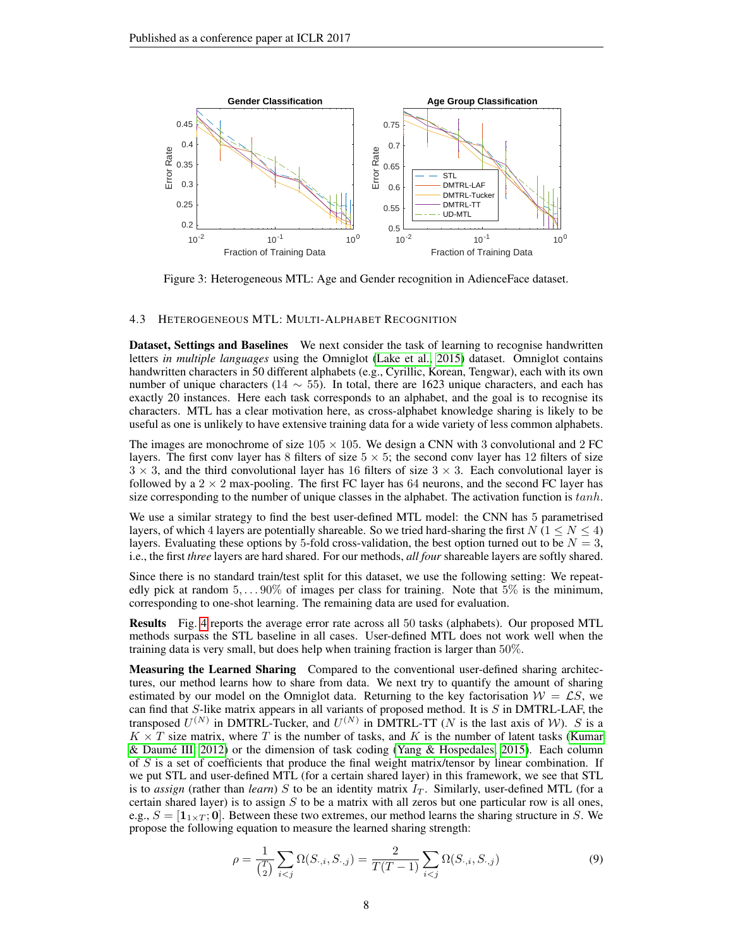

<span id="page-7-0"></span>Figure 3: Heterogeneous MTL: Age and Gender recognition in AdienceFace dataset.

#### 4.3 HETEROGENEOUS MTL: MULTI-ALPHABET RECOGNITION

Dataset, Settings and Baselines We next consider the task of learning to recognise handwritten letters *in multiple languages* using the Omniglot [\(Lake et al., 2015\)](#page-9-18) dataset. Omniglot contains handwritten characters in 50 different alphabets (e.g., Cyrillic, Korean, Tengwar), each with its own number of unique characters (14  $\sim$  55). In total, there are 1623 unique characters, and each has exactly 20 instances. Here each task corresponds to an alphabet, and the goal is to recognise its characters. MTL has a clear motivation here, as cross-alphabet knowledge sharing is likely to be useful as one is unlikely to have extensive training data for a wide variety of less common alphabets.

The images are monochrome of size  $105 \times 105$ . We design a CNN with 3 convolutional and 2 FC layers. The first conv layer has 8 filters of size  $5 \times 5$ ; the second conv layer has 12 filters of size  $3 \times 3$ , and the third convolutional layer has 16 filters of size  $3 \times 3$ . Each convolutional layer is followed by a  $2 \times 2$  max-pooling. The first FC layer has 64 neurons, and the second FC layer has size corresponding to the number of unique classes in the alphabet. The activation function is  $tanh$ .

We use a similar strategy to find the best user-defined MTL model: the CNN has 5 parametrised layers, of which 4 layers are potentially shareable. So we tried hard-sharing the first  $N (1 \le N \le 4)$ layers. Evaluating these options by 5-fold cross-validation, the best option turned out to be  $N = 3$ , i.e., the first *three* layers are hard shared. For our methods, *all four* shareable layers are softly shared.

Since there is no standard train/test split for this dataset, we use the following setting: We repeatedly pick at random  $5, \ldots 90\%$  of images per class for training. Note that  $5\%$  is the minimum, corresponding to one-shot learning. The remaining data are used for evaluation.

Results Fig. [4](#page-8-0) reports the average error rate across all 50 tasks (alphabets). Our proposed MTL methods surpass the STL baseline in all cases. User-defined MTL does not work well when the training data is very small, but does help when training fraction is larger than 50%.

Measuring the Learned Sharing Compared to the conventional user-defined sharing architectures, our method learns how to share from data. We next try to quantify the amount of sharing estimated by our model on the Omniglot data. Returning to the key factorisation  $W = \mathcal{LS}$ , we can find that S-like matrix appears in all variants of proposed method. It is S in DMTRL-LAF, the transposed  $U^{(N)}$  in DMTRL-Tucker, and  $U^{(N)}$  in DMTRL-TT (N is the last axis of W). S is a  $K \times T$  size matrix, where T is the number of tasks, and K is the number of latent tasks [\(Kumar](#page-9-3) & Daumé III, 2012) or the dimension of task coding [\(Yang & Hospedales, 2015\)](#page-10-5). Each column of  $S$  is a set of coefficients that produce the final weight matrix/tensor by linear combination. If we put STL and user-defined MTL (for a certain shared layer) in this framework, we see that STL is to *assign* (rather than *learn*) S to be an identity matrix  $I_T$ . Similarly, user-defined MTL (for a certain shared layer) is to assign  $S$  to be a matrix with all zeros but one particular row is all ones, e.g.,  $S = \begin{bmatrix} 1_{1 \times T} \\ 0 \end{bmatrix}$ . Between these two extremes, our method learns the sharing structure in S. We propose the following equation to measure the learned sharing strength:

<span id="page-7-1"></span>
$$
\rho = \frac{1}{\binom{T}{2}} \sum_{i < j} \Omega(S_{\cdot,i}, S_{\cdot,j}) = \frac{2}{T(T-1)} \sum_{i < j} \Omega(S_{\cdot,i}, S_{\cdot,j}) \tag{9}
$$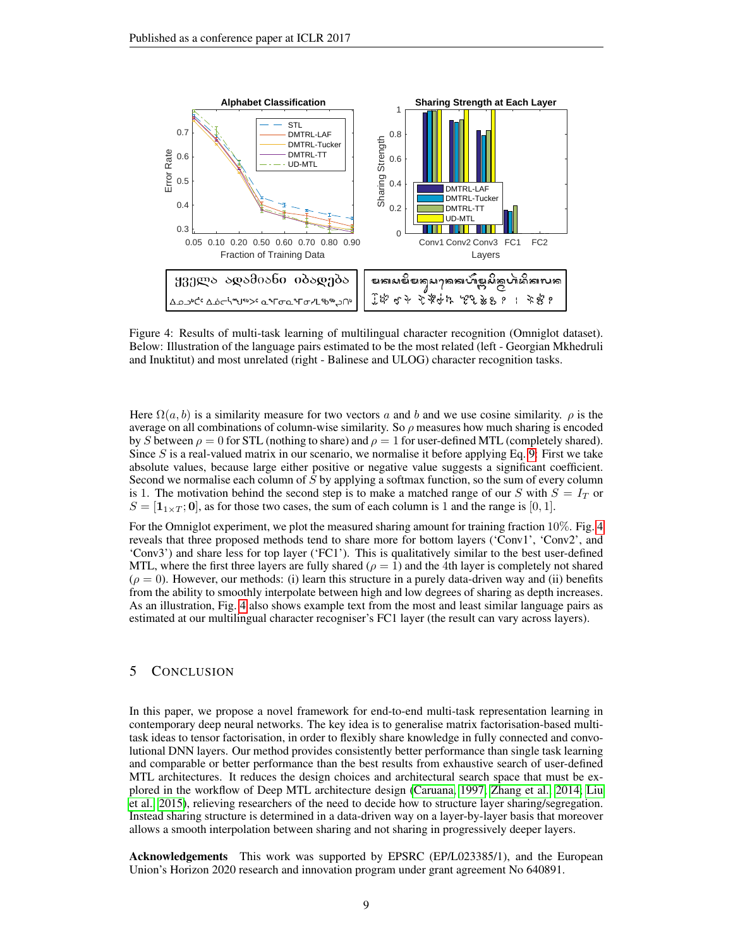

<span id="page-8-0"></span>Figure 4: Results of multi-task learning of multilingual character recognition (Omniglot dataset). Below: Illustration of the language pairs estimated to be the most related (left - Georgian Mkhedruli and Inuktitut) and most unrelated (right - Balinese and ULOG) character recognition tasks.

Here  $\Omega(a, b)$  is a similarity measure for two vectors a and b and we use cosine similarity.  $\rho$  is the average on all combinations of column-wise similarity. So  $\rho$  measures how much sharing is encoded by S between  $\rho = 0$  for STL (nothing to share) and  $\rho = 1$  for user-defined MTL (completely shared). Since  $S$  is a real-valued matrix in our scenario, we normalise it before applying Eq. [9:](#page-7-1) First we take absolute values, because large either positive or negative value suggests a significant coefficient. Second we normalise each column of  $S$  by applying a softmax function, so the sum of every column is 1. The motivation behind the second step is to make a matched range of our S with  $S = I_T$  or  $S = [\mathbf{1}_{1 \times T}; \mathbf{0}]$ , as for those two cases, the sum of each column is 1 and the range is [0, 1].

For the Omniglot experiment, we plot the measured sharing amount for training fraction 10%. Fig. [4](#page-8-0) reveals that three proposed methods tend to share more for bottom layers ('Conv1', 'Conv2', and 'Conv3') and share less for top layer ('FC1'). This is qualitatively similar to the best user-defined MTL, where the first three layers are fully shared ( $\rho = 1$ ) and the 4th layer is completely not shared  $(\rho = 0)$ . However, our methods: (i) learn this structure in a purely data-driven way and (ii) benefits from the ability to smoothly interpolate between high and low degrees of sharing as depth increases. As an illustration, Fig. [4](#page-8-0) also shows example text from the most and least similar language pairs as estimated at our multilingual character recogniser's FC1 layer (the result can vary across layers).

## 5 CONCLUSION

In this paper, we propose a novel framework for end-to-end multi-task representation learning in contemporary deep neural networks. The key idea is to generalise matrix factorisation-based multitask ideas to tensor factorisation, in order to flexibly share knowledge in fully connected and convolutional DNN layers. Our method provides consistently better performance than single task learning and comparable or better performance than the best results from exhaustive search of user-defined MTL architectures. It reduces the design choices and architectural search space that must be explored in the workflow of Deep MTL architecture design [\(Caruana, 1997;](#page-9-0) [Zhang et al., 2014;](#page-10-0) [Liu](#page-9-4) [et al., 2015\)](#page-9-4), relieving researchers of the need to decide how to structure layer sharing/segregation. Instead sharing structure is determined in a data-driven way on a layer-by-layer basis that moreover allows a smooth interpolation between sharing and not sharing in progressively deeper layers.

Acknowledgements This work was supported by EPSRC (EP/L023385/1), and the European Union's Horizon 2020 research and innovation program under grant agreement No 640891.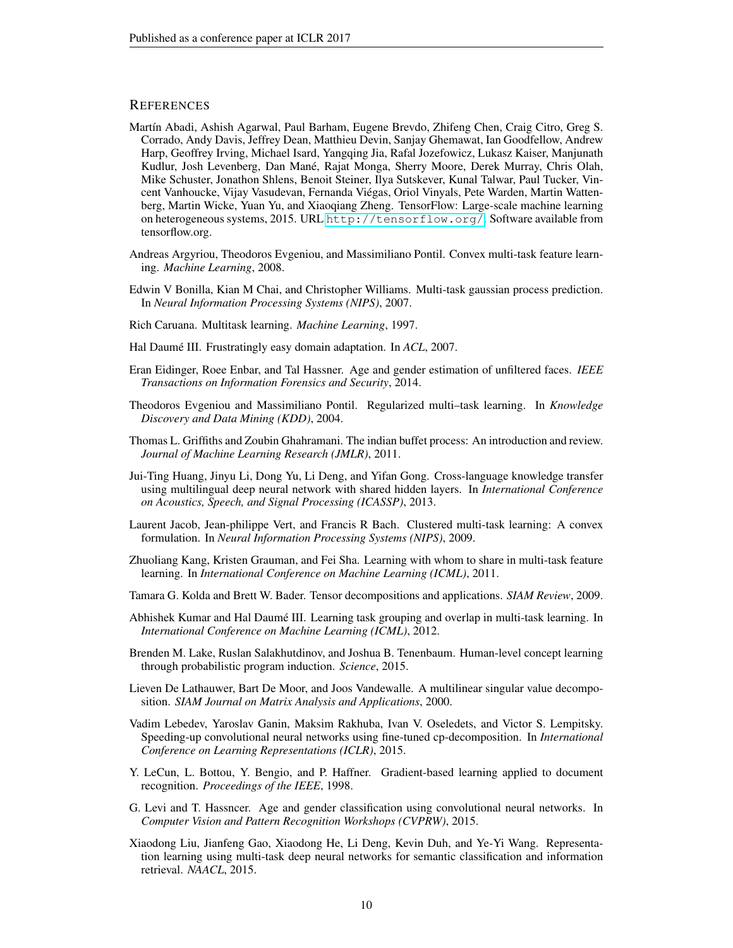## **REFERENCES**

- <span id="page-9-13"></span>Martín Abadi, Ashish Agarwal, Paul Barham, Eugene Brevdo, Zhifeng Chen, Craig Citro, Greg S. Corrado, Andy Davis, Jeffrey Dean, Matthieu Devin, Sanjay Ghemawat, Ian Goodfellow, Andrew Harp, Geoffrey Irving, Michael Isard, Yangqing Jia, Rafal Jozefowicz, Lukasz Kaiser, Manjunath Kudlur, Josh Levenberg, Dan Mané, Rajat Monga, Sherry Moore, Derek Murray, Chris Olah, Mike Schuster, Jonathon Shlens, Benoit Steiner, Ilya Sutskever, Kunal Talwar, Paul Tucker, Vincent Vanhoucke, Vijay Vasudevan, Fernanda Viegas, Oriol Vinyals, Pete Warden, Martin Watten- ´ berg, Martin Wicke, Yuan Yu, and Xiaoqiang Zheng. TensorFlow: Large-scale machine learning on heterogeneous systems, 2015. URL <http://tensorflow.org/>. Software available from tensorflow.org.
- <span id="page-9-2"></span>Andreas Argyriou, Theodoros Evgeniou, and Massimiliano Pontil. Convex multi-task feature learning. *Machine Learning*, 2008.
- <span id="page-9-8"></span>Edwin V Bonilla, Kian M Chai, and Christopher Williams. Multi-task gaussian process prediction. In *Neural Information Processing Systems (NIPS)*, 2007.
- <span id="page-9-0"></span>Rich Caruana. Multitask learning. *Machine Learning*, 1997.
- <span id="page-9-5"></span>Hal Daumé III. Frustratingly easy domain adaptation. In *ACL*, 2007.
- <span id="page-9-16"></span>Eran Eidinger, Roee Enbar, and Tal Hassner. Age and gender estimation of unfiltered faces. *IEEE Transactions on Information Forensics and Security*, 2014.
- <span id="page-9-1"></span>Theodoros Evgeniou and Massimiliano Pontil. Regularized multi–task learning. In *Knowledge Discovery and Data Mining (KDD)*, 2004.
- <span id="page-9-6"></span>Thomas L. Griffiths and Zoubin Ghahramani. The indian buffet process: An introduction and review. *Journal of Machine Learning Research (JMLR)*, 2011.
- <span id="page-9-10"></span>Jui-Ting Huang, Jinyu Li, Dong Yu, Li Deng, and Yifan Gong. Cross-language knowledge transfer using multilingual deep neural network with shared hidden layers. In *International Conference on Acoustics, Speech, and Signal Processing (ICASSP)*, 2013.
- <span id="page-9-9"></span>Laurent Jacob, Jean-philippe Vert, and Francis R Bach. Clustered multi-task learning: A convex formulation. In *Neural Information Processing Systems (NIPS)*, 2009.
- <span id="page-9-15"></span>Zhuoliang Kang, Kristen Grauman, and Fei Sha. Learning with whom to share in multi-task feature learning. In *International Conference on Machine Learning (ICML)*, 2011.
- <span id="page-9-11"></span>Tamara G. Kolda and Brett W. Bader. Tensor decompositions and applications. *SIAM Review*, 2009.
- <span id="page-9-3"></span>Abhishek Kumar and Hal Daume III. Learning task grouping and overlap in multi-task learning. In ´ *International Conference on Machine Learning (ICML)*, 2012.
- <span id="page-9-18"></span>Brenden M. Lake, Ruslan Salakhutdinov, and Joshua B. Tenenbaum. Human-level concept learning through probabilistic program induction. *Science*, 2015.
- <span id="page-9-12"></span>Lieven De Lathauwer, Bart De Moor, and Joos Vandewalle. A multilinear singular value decomposition. *SIAM Journal on Matrix Analysis and Applications*, 2000.
- <span id="page-9-7"></span>Vadim Lebedev, Yaroslav Ganin, Maksim Rakhuba, Ivan V. Oseledets, and Victor S. Lempitsky. Speeding-up convolutional neural networks using fine-tuned cp-decomposition. In *International Conference on Learning Representations (ICLR)*, 2015.
- <span id="page-9-14"></span>Y. LeCun, L. Bottou, Y. Bengio, and P. Haffner. Gradient-based learning applied to document recognition. *Proceedings of the IEEE*, 1998.
- <span id="page-9-17"></span>G. Levi and T. Hassncer. Age and gender classification using convolutional neural networks. In *Computer Vision and Pattern Recognition Workshops (CVPRW)*, 2015.
- <span id="page-9-4"></span>Xiaodong Liu, Jianfeng Gao, Xiaodong He, Li Deng, Kevin Duh, and Ye-Yi Wang. Representation learning using multi-task deep neural networks for semantic classification and information retrieval. *NAACL*, 2015.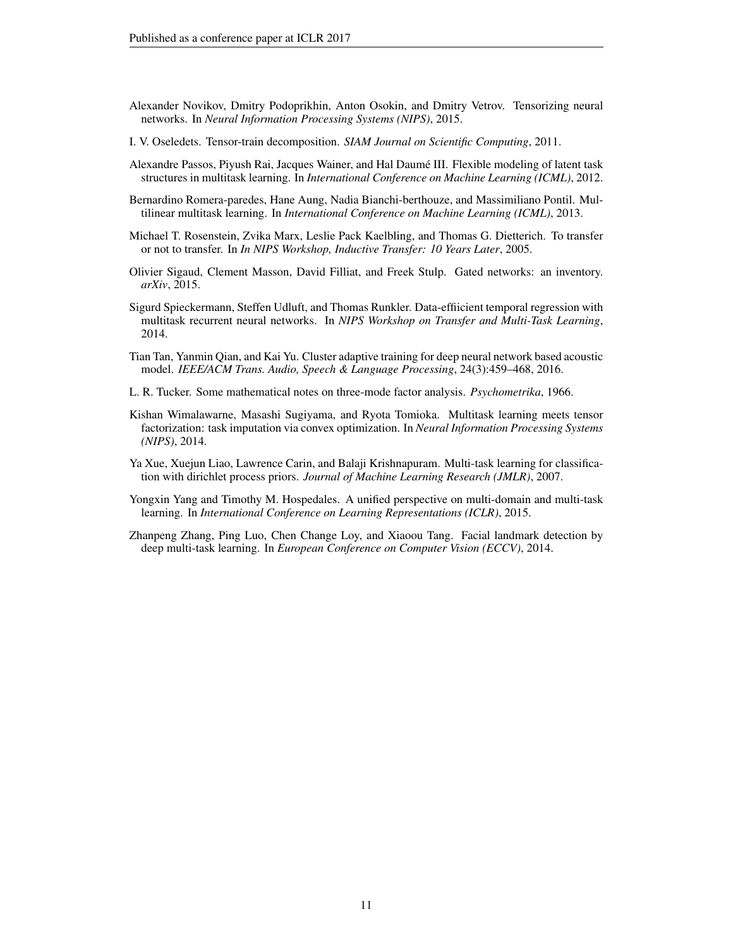- <span id="page-10-4"></span>Alexander Novikov, Dmitry Podoprikhin, Anton Osokin, and Dmitry Vetrov. Tensorizing neural networks. In *Neural Information Processing Systems (NIPS)*, 2015.
- <span id="page-10-11"></span>I. V. Oseledets. Tensor-train decomposition. *SIAM Journal on Scientific Computing*, 2011.
- <span id="page-10-3"></span>Alexandre Passos, Piyush Rai, Jacques Wainer, and Hal Daume III. Flexible modeling of latent task ´ structures in multitask learning. In *International Conference on Machine Learning (ICML)*, 2012.
- <span id="page-10-6"></span>Bernardino Romera-paredes, Hane Aung, Nadia Bianchi-berthouze, and Massimiliano Pontil. Multilinear multitask learning. In *International Conference on Machine Learning (ICML)*, 2013.
- <span id="page-10-12"></span>Michael T. Rosenstein, Zvika Marx, Leslie Pack Kaelbling, and Thomas G. Dietterich. To transfer or not to transfer. In *In NIPS Workshop, Inductive Transfer: 10 Years Later*, 2005.
- <span id="page-10-8"></span>Olivier Sigaud, Clement Masson, David Filliat, and Freek Stulp. Gated networks: an inventory. *arXiv*, 2015.
- <span id="page-10-1"></span>Sigurd Spieckermann, Steffen Udluft, and Thomas Runkler. Data-effiicient temporal regression with multitask recurrent neural networks. In *NIPS Workshop on Transfer and Multi-Task Learning*, 2014.
- <span id="page-10-9"></span>Tian Tan, Yanmin Qian, and Kai Yu. Cluster adaptive training for deep neural network based acoustic model. *IEEE/ACM Trans. Audio, Speech & Language Processing*, 24(3):459–468, 2016.
- <span id="page-10-10"></span>L. R. Tucker. Some mathematical notes on three-mode factor analysis. *Psychometrika*, 1966.
- <span id="page-10-7"></span>Kishan Wimalawarne, Masashi Sugiyama, and Ryota Tomioka. Multitask learning meets tensor factorization: task imputation via convex optimization. In *Neural Information Processing Systems (NIPS)*, 2014.
- <span id="page-10-2"></span>Ya Xue, Xuejun Liao, Lawrence Carin, and Balaji Krishnapuram. Multi-task learning for classification with dirichlet process priors. *Journal of Machine Learning Research (JMLR)*, 2007.
- <span id="page-10-5"></span>Yongxin Yang and Timothy M. Hospedales. A unified perspective on multi-domain and multi-task learning. In *International Conference on Learning Representations (ICLR)*, 2015.
- <span id="page-10-0"></span>Zhanpeng Zhang, Ping Luo, Chen Change Loy, and Xiaoou Tang. Facial landmark detection by deep multi-task learning. In *European Conference on Computer Vision (ECCV)*, 2014.